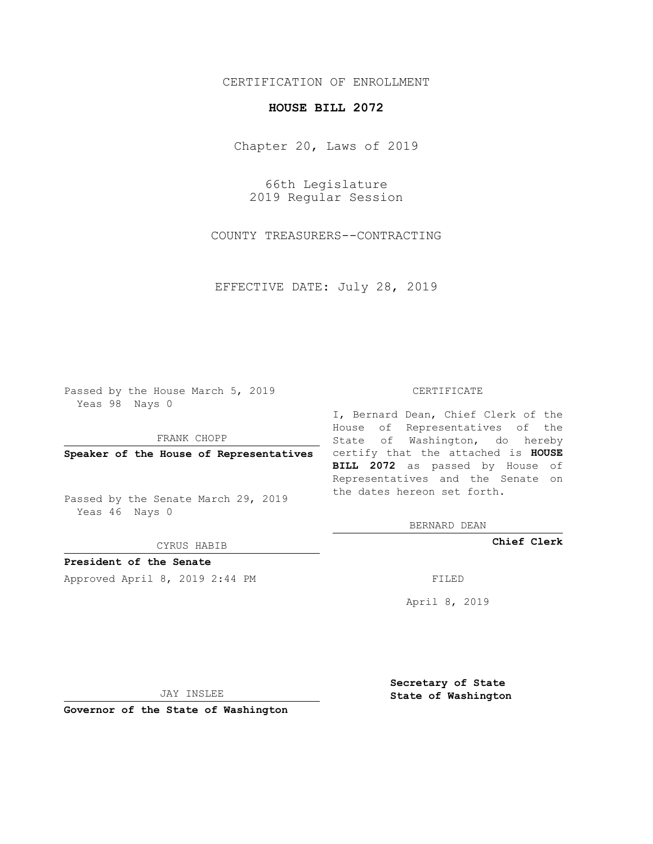## CERTIFICATION OF ENROLLMENT

## **HOUSE BILL 2072**

Chapter 20, Laws of 2019

66th Legislature 2019 Regular Session

COUNTY TREASURERS--CONTRACTING

EFFECTIVE DATE: July 28, 2019

Passed by the House March 5, 2019 Yeas 98 Nays 0

FRANK CHOPP

Passed by the Senate March 29, 2019 Yeas 46 Nays 0

CYRUS HABIB

**President of the Senate**

Approved April 8, 2019 2:44 PM FILED

## CERTIFICATE

**Speaker of the House of Representatives** certify that the attached is **HOUSE** I, Bernard Dean, Chief Clerk of the House of Representatives of the State of Washington, do hereby **BILL 2072** as passed by House of Representatives and the Senate on the dates hereon set forth.

BERNARD DEAN

**Chief Clerk**

April 8, 2019

JAY INSLEE

**Governor of the State of Washington**

**Secretary of State State of Washington**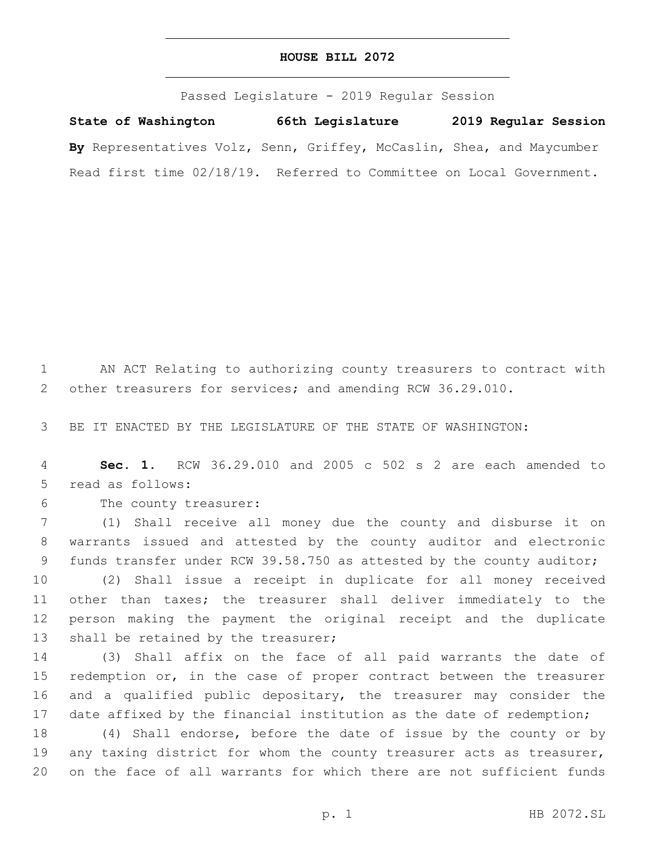## **HOUSE BILL 2072**

Passed Legislature - 2019 Regular Session

**State of Washington 66th Legislature 2019 Regular Session By** Representatives Volz, Senn, Griffey, McCaslin, Shea, and Maycumber Read first time 02/18/19. Referred to Committee on Local Government.

1 AN ACT Relating to authorizing county treasurers to contract with 2 other treasurers for services; and amending RCW 36.29.010.

3 BE IT ENACTED BY THE LEGISLATURE OF THE STATE OF WASHINGTON:

4 **Sec. 1.** RCW 36.29.010 and 2005 c 502 s 2 are each amended to 5 read as follows:

6 The county treasurer:

7 (1) Shall receive all money due the county and disburse it on 8 warrants issued and attested by the county auditor and electronic 9 funds transfer under RCW 39.58.750 as attested by the county auditor;

 (2) Shall issue a receipt in duplicate for all money received other than taxes; the treasurer shall deliver immediately to the person making the payment the original receipt and the duplicate 13 shall be retained by the treasurer;

14 (3) Shall affix on the face of all paid warrants the date of 15 redemption or, in the case of proper contract between the treasurer 16 and a qualified public depositary, the treasurer may consider the 17 date affixed by the financial institution as the date of redemption;

18 (4) Shall endorse, before the date of issue by the county or by 19 any taxing district for whom the county treasurer acts as treasurer, 20 on the face of all warrants for which there are not sufficient funds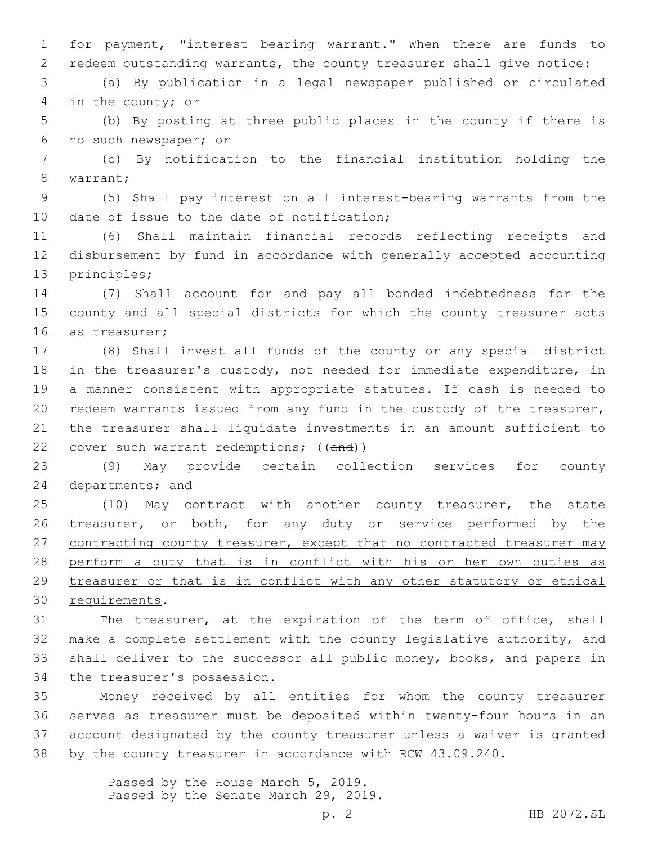1 for payment, "interest bearing warrant." When there are funds to 2 redeem outstanding warrants, the county treasurer shall give notice:

3 (a) By publication in a legal newspaper published or circulated 4 in the county; or

5 (b) By posting at three public places in the county if there is 6 no such newspaper; or

7 (c) By notification to the financial institution holding the 8 warrant;

9 (5) Shall pay interest on all interest-bearing warrants from the 10 date of issue to the date of notification;

11 (6) Shall maintain financial records reflecting receipts and 12 disbursement by fund in accordance with generally accepted accounting 13 principles;

14 (7) Shall account for and pay all bonded indebtedness for the 15 county and all special districts for which the county treasurer acts 16 as treasurer;

 (8) Shall invest all funds of the county or any special district in the treasurer's custody, not needed for immediate expenditure, in a manner consistent with appropriate statutes. If cash is needed to redeem warrants issued from any fund in the custody of the treasurer, the treasurer shall liquidate investments in an amount sufficient to 22 cover such warrant redemptions; ((and))

23 (9) May provide certain collection services for county 24 departments; and

25 (10) May contract with another county treasurer, the state 26 treasurer, or both, for any duty or service performed by the 27 contracting county treasurer, except that no contracted treasurer may 28 perform a duty that is in conflict with his or her own duties as 29 treasurer or that is in conflict with any other statutory or ethical 30 requirements.

 The treasurer, at the expiration of the term of office, shall make a complete settlement with the county legislative authority, and shall deliver to the successor all public money, books, and papers in 34 the treasurer's possession.

 Money received by all entities for whom the county treasurer serves as treasurer must be deposited within twenty-four hours in an account designated by the county treasurer unless a waiver is granted by the county treasurer in accordance with RCW 43.09.240.

> Passed by the House March 5, 2019. Passed by the Senate March 29, 2019.